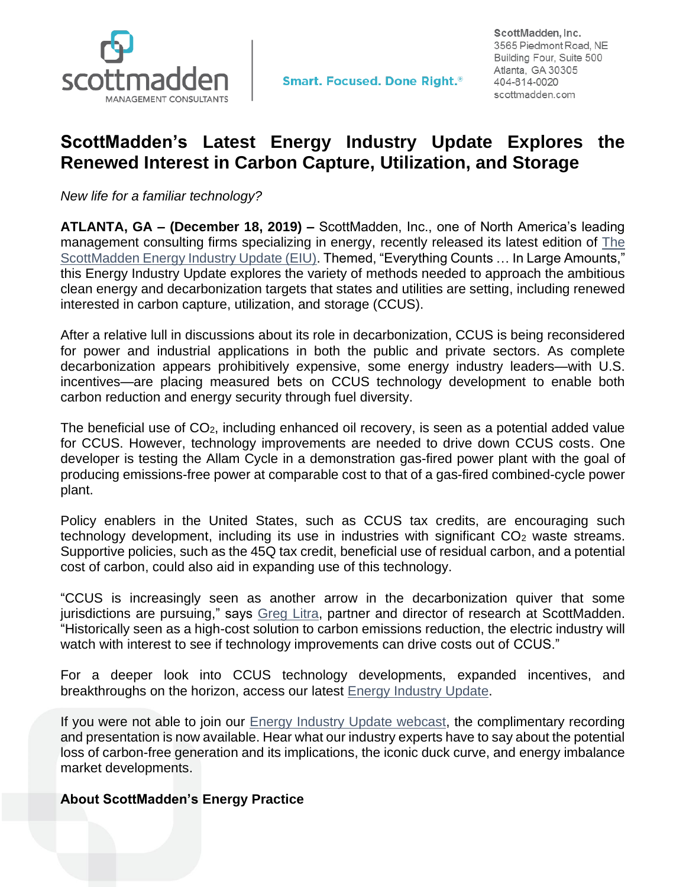

## **ScottMadden's Latest Energy Industry Update Explores the Renewed Interest in Carbon Capture, Utilization, and Storage**

*New life for a familiar technology?*

**ATLANTA, GA – (December 18, 2019) –** ScottMadden, Inc., one of North America's leading management consulting firms specializing in energy, recently released its latest edition of [The](https://www.scottmadden.com/energy-industry-update/)  [ScottMadden Energy Industry Update \(EIU\).](https://www.scottmadden.com/energy-industry-update/) Themed, "Everything Counts ... In Large Amounts," this Energy Industry Update explores the variety of methods needed to approach the ambitious clean energy and decarbonization targets that states and utilities are setting, including renewed interested in carbon capture, utilization, and storage (CCUS).

After a relative lull in discussions about its role in decarbonization, CCUS is being reconsidered for power and industrial applications in both the public and private sectors. As complete decarbonization appears prohibitively expensive, some energy industry leaders—with U.S. incentives—are placing measured bets on CCUS technology development to enable both carbon reduction and energy security through fuel diversity.

The beneficial use of CO2, including enhanced oil recovery, is seen as a potential added value for CCUS. However, technology improvements are needed to drive down CCUS costs. One developer is testing the Allam Cycle in a demonstration gas-fired power plant with the goal of producing emissions-free power at comparable cost to that of a gas-fired combined-cycle power plant.

Policy enablers in the United States, such as CCUS tax credits, are encouraging such technology development, including its use in industries with significant  $CO<sub>2</sub>$  waste streams. Supportive policies, such as the 45Q tax credit, beneficial use of residual carbon, and a potential cost of carbon, could also aid in expanding use of this technology.

"CCUS is increasingly seen as another arrow in the decarbonization quiver that some jurisdictions are pursuing," says [Greg Litra,](https://www.scottmadden.com/person/greg-litra/) partner and director of research at ScottMadden. "Historically seen as a high-cost solution to carbon emissions reduction, the electric industry will watch with interest to see if technology improvements can drive costs out of CCUS."

For a deeper look into CCUS technology developments, expanded incentives, and breakthroughs on the horizon, access our latest [Energy Industry Update.](https://www.scottmadden.com/energy-industry-update/)

If you were not able to join our [Energy Industry Update webcast,](https://www.scottmadden.com/insight/the-energy-industry-update-webcast-everything-counts-in-large-amounts/) the complimentary recording and presentation is now available. Hear what our industry experts have to say about the potential loss of carbon-free generation and its implications, the iconic duck curve, and energy imbalance market developments.

## **About ScottMadden's Energy Practice**